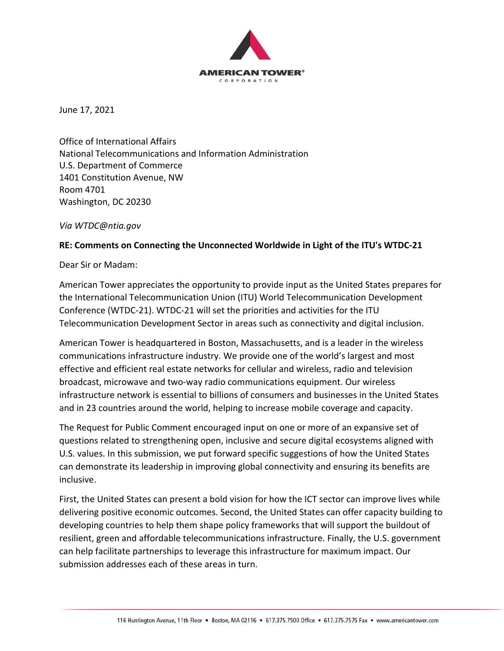

June 17, 2021

Office of International Affairs National Telecommunications and Information Administration U.S. Department of Commerce 1401 Constitution Avenue, NW Room 4701 Washington, DC 20230

*Via WTDC@ntia.gov*

#### **RE: Comments on Connecting the Unconnected Worldwide in Light of the ITU's WTDC‐21**

Dear Sir or Madam:

American Tower appreciates the opportunity to provide input as the United States prepares for the International Telecommunication Union (ITU) World Telecommunication Development Conference (WTDC‐21). WTDC‐21 will set the priorities and activities for the ITU Telecommunication Development Sector in areas such as connectivity and digital inclusion.

American Tower is headquartered in Boston, Massachusetts, and is a leader in the wireless communications infrastructure industry. We provide one of the world's largest and most effective and efficient real estate networks for cellular and wireless, radio and television broadcast, microwave and two‐way radio communications equipment. Our wireless infrastructure network is essential to billions of consumers and businesses in the United States and in 23 countries around the world, helping to increase mobile coverage and capacity.

The Request for Public Comment encouraged input on one or more of an expansive set of questions related to strengthening open, inclusive and secure digital ecosystems aligned with U.S. values. In this submission, we put forward specific suggestions of how the United States can demonstrate its leadership in improving global connectivity and ensuring its benefits are inclusive.

First, the United States can present a bold vision for how the ICT sector can improve lives while delivering positive economic outcomes. Second, the United States can offer capacity building to developing countries to help them shape policy frameworks that will support the buildout of resilient, green and affordable telecommunications infrastructure. Finally, the U.S. government can help facilitate partnerships to leverage this infrastructure for maximum impact. Our submission addresses each of these areas in turn.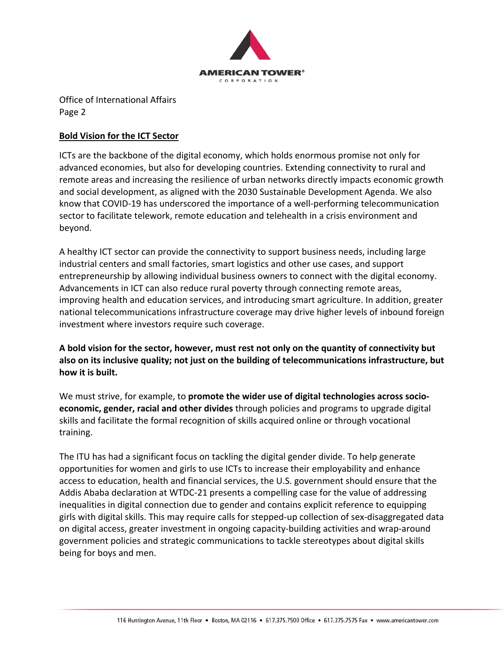

### **Bold Vision for the ICT Sector**

ICTs are the backbone of the digital economy, which holds enormous promise not only for advanced economies, but also for developing countries. Extending connectivity to rural and remote areas and increasing the resilience of urban networks directly impacts economic growth and social development, as aligned with the 2030 Sustainable Development Agenda. We also know that COVID‐19 has underscored the importance of a well‐performing telecommunication sector to facilitate telework, remote education and telehealth in a crisis environment and beyond.

A healthy ICT sector can provide the connectivity to support business needs, including large industrial centers and small factories, smart logistics and other use cases, and support entrepreneurship by allowing individual business owners to connect with the digital economy. Advancements in ICT can also reduce rural poverty through connecting remote areas, improving health and education services, and introducing smart agriculture. In addition, greater national telecommunications infrastructure coverage may drive higher levels of inbound foreign investment where investors require such coverage.

**A bold vision for the sector, however, must rest not only on the quantity of connectivity but also on its inclusive quality; not just on the building of telecommunications infrastructure, but how it is built.** 

We must strive, for example, to **promote the wider use of digital technologies across socio‐ economic, gender, racial and other divides** through policies and programs to upgrade digital skills and facilitate the formal recognition of skills acquired online or through vocational training.

The ITU has had a significant focus on tackling the digital gender divide. To help generate opportunities for women and girls to use ICTs to increase their employability and enhance access to education, health and financial services, the U.S. government should ensure that the Addis Ababa declaration at WTDC‐21 presents a compelling case for the value of addressing inequalities in digital connection due to gender and contains explicit reference to equipping girls with digital skills. This may require calls for stepped‐up collection of sex‐disaggregated data on digital access, greater investment in ongoing capacity‐building activities and wrap‐around government policies and strategic communications to tackle stereotypes about digital skills being for boys and men.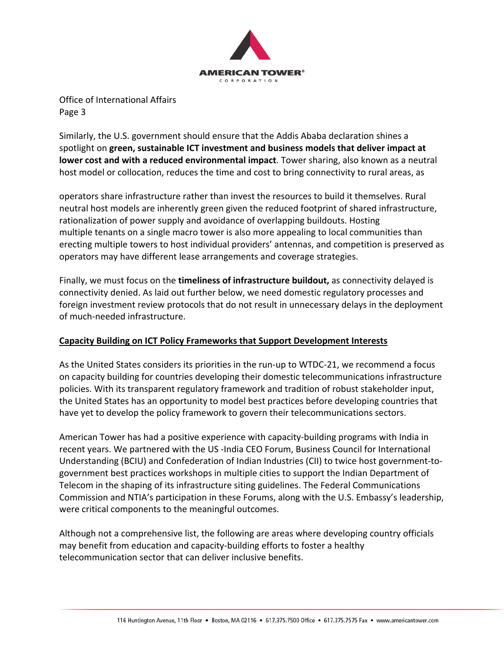

Similarly, the U.S. government should ensure that the Addis Ababa declaration shines a spotlight on **green, sustainable ICT investment and business models that deliver impact at lower cost and with a reduced environmental impact**. Tower sharing, also known as a neutral host model or collocation, reduces the time and cost to bring connectivity to rural areas, as

operators share infrastructure rather than invest the resources to build it themselves. Rural neutral host models are inherently green given the reduced footprint of shared infrastructure, rationalization of power supply and avoidance of overlapping buildouts. Hosting multiple tenants on a single macro tower is also more appealing to local communities than erecting multiple towers to host individual providers' antennas, and competition is preserved as operators may have different lease arrangements and coverage strategies.

Finally, we must focus on the **timeliness of infrastructure buildout,** as connectivity delayed is connectivity denied. As laid out further below, we need domestic regulatory processes and foreign investment review protocols that do not result in unnecessary delays in the deployment of much‐needed infrastructure.

# **Capacity Building on ICT Policy Frameworks that Support Development Interests**

As the United States considers its priorities in the run‐up to WTDC‐21, we recommend a focus on capacity building for countries developing their domestic telecommunications infrastructure policies. With its transparent regulatory framework and tradition of robust stakeholder input, the United States has an opportunity to model best practices before developing countries that have yet to develop the policy framework to govern their telecommunications sectors.

American Tower has had a positive experience with capacity‐building programs with India in recent years. We partnered with the US ‐India CEO Forum, Business Council for International Understanding (BCIU) and Confederation of Indian Industries (CII) to twice host government‐to‐ government best practices workshops in multiple cities to support the Indian Department of Telecom in the shaping of its infrastructure siting guidelines. The Federal Communications Commission and NTIA's participation in these Forums, along with the U.S. Embassy's leadership, were critical components to the meaningful outcomes.

Although not a comprehensive list, the following are areas where developing country officials may benefit from education and capacity‐building efforts to foster a healthy telecommunication sector that can deliver inclusive benefits.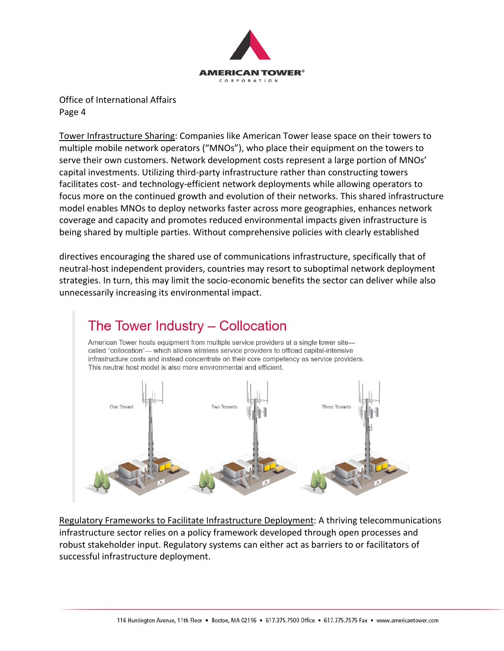

Tower Infrastructure Sharing: Companies like American Tower lease space on their towers to multiple mobile network operators ("MNOs"), who place their equipment on the towers to serve their own customers. Network development costs represent a large portion of MNOs' capital investments. Utilizing third‐party infrastructure rather than constructing towers facilitates cost- and technology-efficient network deployments while allowing operators to focus more on the continued growth and evolution of their networks. This shared infrastructure model enables MNOs to deploy networks faster across more geographies, enhances network coverage and capacity and promotes reduced environmental impacts given infrastructure is being shared by multiple parties. Without comprehensive policies with clearly established

directives encouraging the shared use of communications infrastructure, specifically that of neutral‐host independent providers, countries may resort to suboptimal network deployment strategies. In turn, this may limit the socio‐economic benefits the sector can deliver while also unnecessarily increasing its environmental impact.



Regulatory Frameworks to Facilitate Infrastructure Deployment: A thriving telecommunications infrastructure sector relies on a policy framework developed through open processes and robust stakeholder input. Regulatory systems can either act as barriers to or facilitators of successful infrastructure deployment.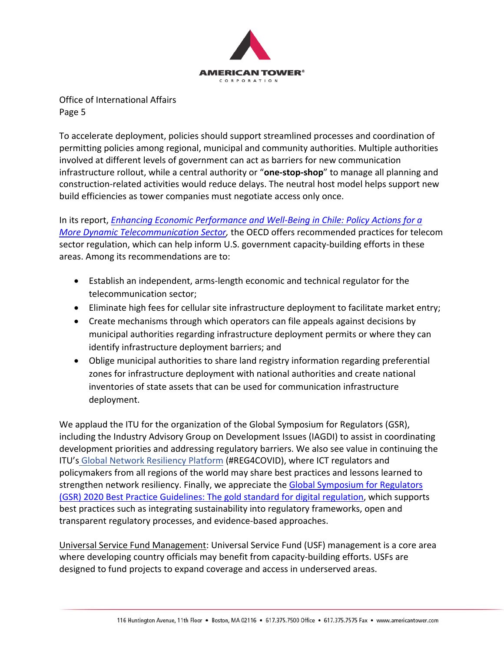

To accelerate deployment, policies should support streamlined processes and coordination of permitting policies among regional, municipal and community authorities. Multiple authorities involved at different levels of government can act as barriers for new communication infrastructure rollout, while a central authority or "**one‐stop‐shop**" to manage all planning and construction‐related activities would reduce delays. The neutral host model helps support new build efficiencies as tower companies must negotiate access only once.

In its report, *Enhancing Economic Performance and Well‐Being in Chile: Policy Actions for a More Dynamic Telecommunication Sector,* the OECD offers recommended practices for telecom sector regulation, which can help inform U.S. government capacity-building efforts in these areas. Among its recommendations are to:

- Establish an independent, arms‐length economic and technical regulator for the telecommunication sector;
- Eliminate high fees for cellular site infrastructure deployment to facilitate market entry;
- Create mechanisms through which operators can file appeals against decisions by municipal authorities regarding infrastructure deployment permits or where they can identify infrastructure deployment barriers; and
- Oblige municipal authorities to share land registry information regarding preferential zones for infrastructure deployment with national authorities and create national inventories of state assets that can be used for communication infrastructure deployment.

We applaud the ITU for the organization of the Global Symposium for Regulators (GSR), including the Industry Advisory Group on Development Issues (IAGDI) to assist in coordinating development priorities and addressing regulatory barriers. We also see value in continuing the ITU's Global Network Resiliency Platform (#REG4COVID), where ICT regulators and policymakers from all regions of the world may share best practices and lessons learned to strengthen network resiliency. Finally, we appreciate the Global Symposium for Regulators (GSR) 2020 Best Practice Guidelines: The gold standard for digital regulation, which supports best practices such as integrating sustainability into regulatory frameworks, open and transparent regulatory processes, and evidence‐based approaches.

Universal Service Fund Management: Universal Service Fund (USF) management is a core area where developing country officials may benefit from capacity-building efforts. USFs are designed to fund projects to expand coverage and access in underserved areas.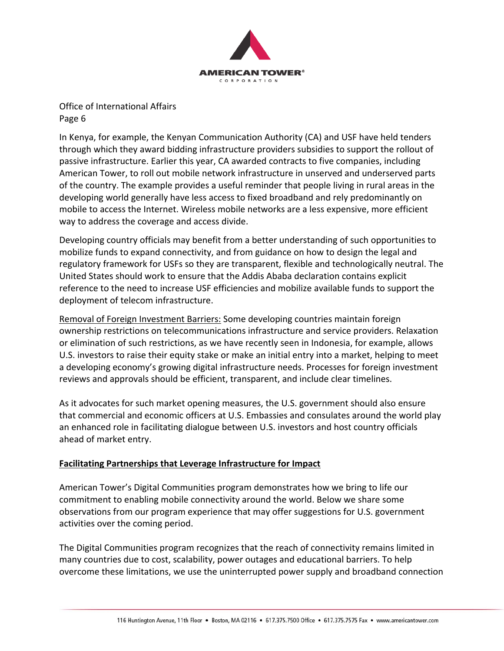

In Kenya, for example, the Kenyan Communication Authority (CA) and USF have held tenders through which they award bidding infrastructure providers subsidies to support the rollout of passive infrastructure. Earlier this year, CA awarded contracts to five companies, including American Tower, to roll out mobile network infrastructure in unserved and underserved parts of the country. The example provides a useful reminder that people living in rural areas in the developing world generally have less access to fixed broadband and rely predominantly on mobile to access the Internet. Wireless mobile networks are a less expensive, more efficient way to address the coverage and access divide.

Developing country officials may benefit from a better understanding of such opportunities to mobilize funds to expand connectivity, and from guidance on how to design the legal and regulatory framework for USFs so they are transparent, flexible and technologically neutral. The United States should work to ensure that the Addis Ababa declaration contains explicit reference to the need to increase USF efficiencies and mobilize available funds to support the deployment of telecom infrastructure.

Removal of Foreign Investment Barriers: Some developing countries maintain foreign ownership restrictions on telecommunications infrastructure and service providers. Relaxation or elimination of such restrictions, as we have recently seen in Indonesia, for example, allows U.S. investors to raise their equity stake or make an initial entry into a market, helping to meet a developing economy's growing digital infrastructure needs. Processes for foreign investment reviews and approvals should be efficient, transparent, and include clear timelines.

As it advocates for such market opening measures, the U.S. government should also ensure that commercial and economic officers at U.S. Embassies and consulates around the world play an enhanced role in facilitating dialogue between U.S. investors and host country officials ahead of market entry.

# **Facilitating Partnerships that Leverage Infrastructure for Impact**

American Tower's Digital Communities program demonstrates how we bring to life our commitment to enabling mobile connectivity around the world. Below we share some observations from our program experience that may offer suggestions for U.S. government activities over the coming period.

The Digital Communities program recognizes that the reach of connectivity remains limited in many countries due to cost, scalability, power outages and educational barriers. To help overcome these limitations, we use the uninterrupted power supply and broadband connection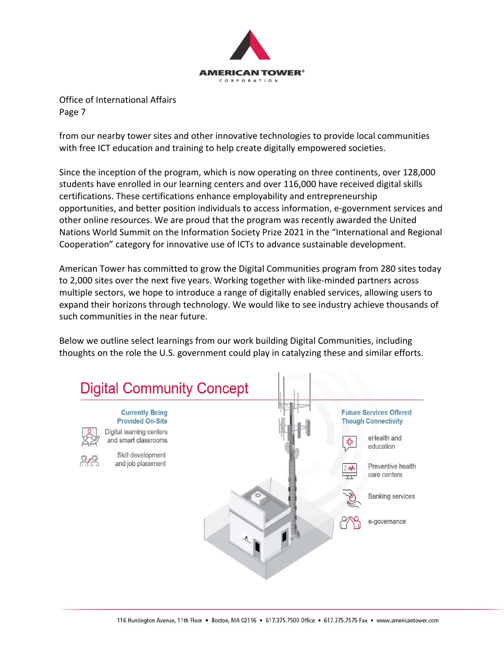

from our nearby tower sites and other innovative technologies to provide local communities with free ICT education and training to help create digitally empowered societies.

Since the inception of the program, which is now operating on three continents, over 128,000 students have enrolled in our learning centers and over 116,000 have received digital skills certifications. These certifications enhance employability and entrepreneurship opportunities, and better position individuals to access information, e‐government services and other online resources. We are proud that the program was recently awarded the United Nations World Summit on the Information Society Prize 2021 in the "International and Regional Cooperation" category for innovative use of ICTs to advance sustainable development.

American Tower has committed to grow the Digital Communities program from 280 sites today to 2,000 sites over the next five years. Working together with like-minded partners across multiple sectors, we hope to introduce a range of digitally enabled services, allowing users to expand their horizons through technology. We would like to see industry achieve thousands of such communities in the near future.

Below we outline select learnings from our work building Digital Communities, including thoughts on the role the U.S. government could play in catalyzing these and similar efforts.

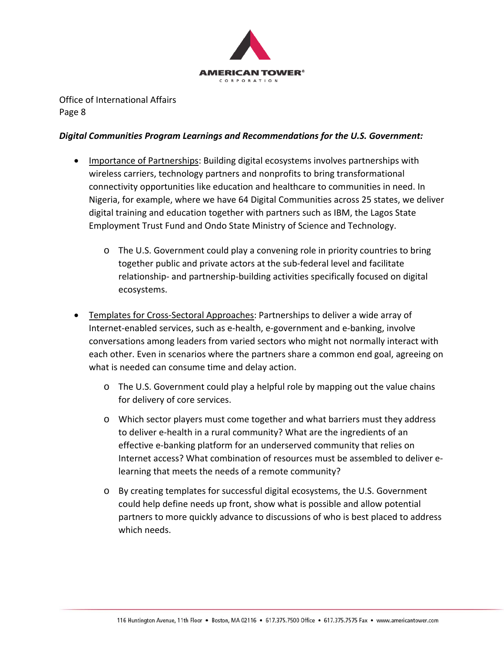

#### *Digital Communities Program Learnings and Recommendations for the U.S. Government:*

- Importance of Partnerships: Building digital ecosystems involves partnerships with wireless carriers, technology partners and nonprofits to bring transformational connectivity opportunities like education and healthcare to communities in need. In Nigeria, for example, where we have 64 Digital Communities across 25 states, we deliver digital training and education together with partners such as IBM, the Lagos State Employment Trust Fund and Ondo State Ministry of Science and Technology.
	- o The U.S. Government could play a convening role in priority countries to bring together public and private actors at the sub‐federal level and facilitate relationship‐ and partnership‐building activities specifically focused on digital ecosystems.
- Templates for Cross‐Sectoral Approaches: Partnerships to deliver a wide array of Internet-enabled services, such as e-health, e-government and e-banking, involve conversations among leaders from varied sectors who might not normally interact with each other. Even in scenarios where the partners share a common end goal, agreeing on what is needed can consume time and delay action.
	- o The U.S. Government could play a helpful role by mapping out the value chains for delivery of core services.
	- o Which sector players must come together and what barriers must they address to deliver e‐health in a rural community? What are the ingredients of an effective e‐banking platform for an underserved community that relies on Internet access? What combination of resources must be assembled to deliver e‐ learning that meets the needs of a remote community?
	- o By creating templates for successful digital ecosystems, the U.S. Government could help define needs up front, show what is possible and allow potential partners to more quickly advance to discussions of who is best placed to address which needs.